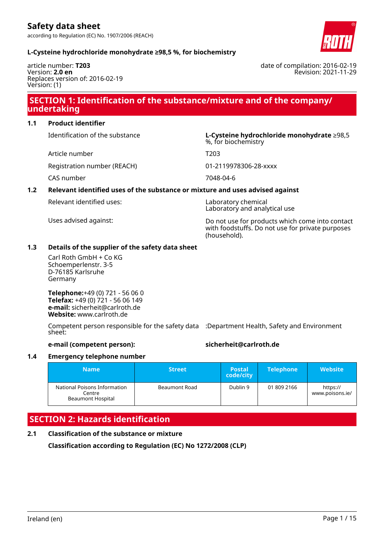according to Regulation (EC) No. 1907/2006 (REACH)



### **L-Cysteine hydrochloride monohydrate ≥98,5 %, for biochemistry**

article number: **T203** Version: **2.0 en** Replaces version of: 2016-02-19 Version: (1)

date of compilation: 2016-02-19 Revision: 2021-11-29

### **SECTION 1: Identification of the substance/mixture and of the company/ undertaking**

### **1.1 Product identifier**

Identification of the substance **L-Cysteine hydrochloride monohydrate** ≥98,5

Article number T203

Registration number (REACH) 01-2119978306-28-xxxx

CAS number 7048-04-6

### **1.2 Relevant identified uses of the substance or mixture and uses advised against**

| Relevant identified uses: |
|---------------------------|
|---------------------------|

%, for biochemistry

Laboratory chemical Laboratory and analytical use

Uses advised against: Do not use for products which come into contact with foodstuffs. Do not use for private purposes (household).

### **1.3 Details of the supplier of the safety data sheet**

Carl Roth GmbH + Co KG Schoemperlenstr. 3-5 D-76185 Karlsruhe Germany

**Telephone:**+49 (0) 721 - 56 06 0 **Telefax:** +49 (0) 721 - 56 06 149 **e-mail:** sicherheit@carlroth.de **Website:** www.carlroth.de

Competent person responsible for the safety data :Department Health, Safety and Environment sheet:

### **e-mail (competent person): sicherheit@carlroth.de**

#### **1.4 Emergency telephone number**

| <b>Name</b>                                                        | <b>Street</b> | <b>Postal</b><br>code/city | <b>Telephone</b> | <b>Website</b>              |
|--------------------------------------------------------------------|---------------|----------------------------|------------------|-----------------------------|
| National Poisons Information<br>Centre<br><b>Beaumont Hospital</b> | Beaumont Road | Dublin 9                   | 01 809 2166      | https://<br>www.poisons.ie/ |

### **SECTION 2: Hazards identification**

**2.1 Classification of the substance or mixture**

**Classification according to Regulation (EC) No 1272/2008 (CLP)**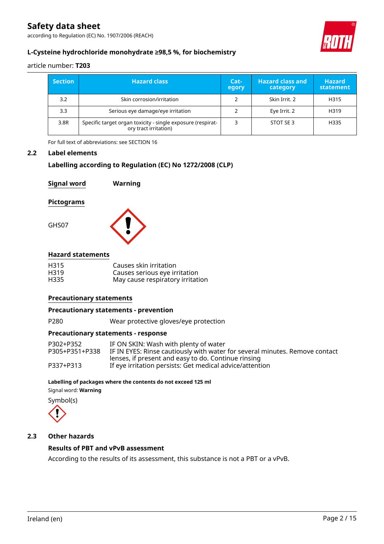according to Regulation (EC) No. 1907/2006 (REACH)



### **L-Cysteine hydrochloride monohydrate ≥98,5 %, for biochemistry**

article number: **T203**

| <b>Section</b> | <b>Hazard class</b>                                                                  | Cat-<br>egory | <b>Hazard class and</b><br>category | <b>Hazard</b><br>statement. |
|----------------|--------------------------------------------------------------------------------------|---------------|-------------------------------------|-----------------------------|
| 3.2            | Skin corrosion/irritation                                                            |               | Skin Irrit, 2                       | H315                        |
| 3.3            | Serious eye damage/eye irritation                                                    |               | Eye Irrit. 2                        | H319                        |
| 3.8R           | Specific target organ toxicity - single exposure (respirat-<br>ory tract irritation) |               | STOT SE 3                           | H335                        |

For full text of abbreviations: see SECTION 16

### **2.2 Label elements**

### **Labelling according to Regulation (EC) No 1272/2008 (CLP)**

| <b>Signal word</b> | Warning |
|--------------------|---------|
| <b>Pictograms</b>  |         |
| GHS07              |         |
| .                  |         |

### **Hazard statements**

| H315 | Causes skin irritation           |
|------|----------------------------------|
| H319 | Causes serious eye irritation    |
| H335 | May cause respiratory irritation |

### **Precautionary statements**

### **Precautionary statements - prevention**

P280 Wear protective gloves/eye protection

### **Precautionary statements - response**

| P302+P352      | IF ON SKIN: Wash with plenty of water                                       |
|----------------|-----------------------------------------------------------------------------|
| P305+P351+P338 | IF IN EYES: Rinse cautiously with water for several minutes. Remove contact |
|                | lenses, if present and easy to do. Continue rinsing                         |
| P337+P313      | If eye irritation persists: Get medical advice/attention                    |

### **Labelling of packages where the contents do not exceed 125 ml**

Signal word: **Warning**

Symbol(s)



### **2.3 Other hazards**

### **Results of PBT and vPvB assessment**

According to the results of its assessment, this substance is not a PBT or a vPvB.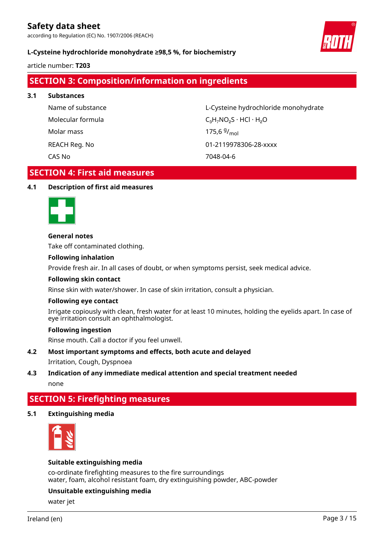according to Regulation (EC) No. 1907/2006 (REACH)



### **L-Cysteine hydrochloride monohydrate ≥98,5 %, for biochemistry**

article number: **T203**

## **SECTION 3: Composition/information on ingredients**

**3.1 Substances**

Molar mass

Name of substance L-Cysteine hydrochloride monohydrate Molecular formula  $C_3H_7NO_2S \cdot HCl \cdot H_2O$ 175,6 $9/_{mol}$ REACH Reg. No 01-2119978306-28-xxxx CAS No 7048-04-6

### **SECTION 4: First aid measures**

### **4.1 Description of first aid measures**



### **General notes**

Take off contaminated clothing.

### **Following inhalation**

Provide fresh air. In all cases of doubt, or when symptoms persist, seek medical advice.

### **Following skin contact**

Rinse skin with water/shower. In case of skin irritation, consult a physician.

### **Following eye contact**

Irrigate copiously with clean, fresh water for at least 10 minutes, holding the eyelids apart. In case of eye irritation consult an ophthalmologist.

### **Following ingestion**

Rinse mouth. Call a doctor if you feel unwell.

### **4.2 Most important symptoms and effects, both acute and delayed**

### Irritation, Cough, Dyspnoea

### **4.3 Indication of any immediate medical attention and special treatment needed** none

### **SECTION 5: Firefighting measures**

### **5.1 Extinguishing media**



### **Suitable extinguishing media**

co-ordinate firefighting measures to the fire surroundings water, foam, alcohol resistant foam, dry extinguishing powder, ABC-powder

### **Unsuitable extinguishing media**

water jet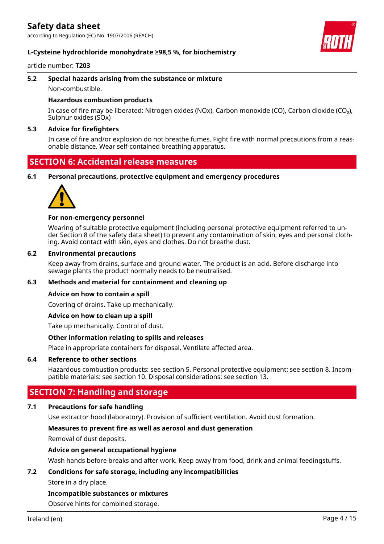according to Regulation (EC) No. 1907/2006 (REACH)

### **L-Cysteine hydrochloride monohydrate ≥98,5 %, for biochemistry**

#### article number: **T203**

#### **5.2 Special hazards arising from the substance or mixture**

Non-combustible.

### **Hazardous combustion products**

In case of fire may be liberated: Nitrogen oxides (NOx), Carbon monoxide (CO), Carbon dioxide (CO₂), Sulphur oxides (SOx)

### **5.3 Advice for firefighters**

In case of fire and/or explosion do not breathe fumes. Fight fire with normal precautions from a reasonable distance. Wear self-contained breathing apparatus.

### **SECTION 6: Accidental release measures**

**6.1 Personal precautions, protective equipment and emergency procedures**



### **For non-emergency personnel**

Wearing of suitable protective equipment (including personal protective equipment referred to under Section 8 of the safety data sheet) to prevent any contamination of skin, eyes and personal clothing. Avoid contact with skin, eyes and clothes. Do not breathe dust.

### **6.2 Environmental precautions**

Keep away from drains, surface and ground water. The product is an acid. Before discharge into sewage plants the product normally needs to be neutralised.

### **6.3 Methods and material for containment and cleaning up**

#### **Advice on how to contain a spill**

Covering of drains. Take up mechanically.

### **Advice on how to clean up a spill**

Take up mechanically. Control of dust.

### **Other information relating to spills and releases**

Place in appropriate containers for disposal. Ventilate affected area.

### **6.4 Reference to other sections**

Hazardous combustion products: see section 5. Personal protective equipment: see section 8. Incompatible materials: see section 10. Disposal considerations: see section 13.

### **SECTION 7: Handling and storage**

### **7.1 Precautions for safe handling**

Use extractor hood (laboratory). Provision of sufficient ventilation. Avoid dust formation.

#### **Measures to prevent fire as well as aerosol and dust generation**

Removal of dust deposits.

### **Advice on general occupational hygiene**

Wash hands before breaks and after work. Keep away from food, drink and animal feedingstuffs.

### **7.2 Conditions for safe storage, including any incompatibilities**

Store in a dry place.

#### **Incompatible substances or mixtures**

Observe hints for combined storage.

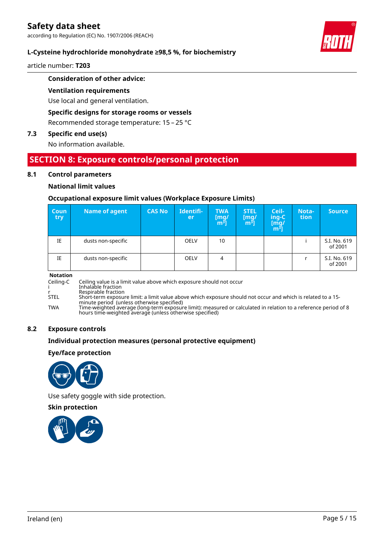according to Regulation (EC) No. 1907/2006 (REACH)

### **L-Cysteine hydrochloride monohydrate ≥98,5 %, for biochemistry**

article number: **T203**

### **Consideration of other advice:**

### **Ventilation requirements**

Use local and general ventilation.

### **Specific designs for storage rooms or vessels**

Recommended storage temperature: 15 – 25 °C

### **7.3 Specific end use(s)**

No information available.

### **SECTION 8: Exposure controls/personal protection**

### **8.1 Control parameters**

### **National limit values**

### **Occupational exposure limit values (Workplace Exposure Limits)**

| Coun<br>try | <b>Name of agent</b> | <b>CAS No</b> | Identifi-<br>er | <b>TWA</b><br>[mg/<br>m <sup>ɜ</sup> ] | <b>STEL</b><br>[mg]<br>$\mathbf{m}^{\mathbf{3}}$ ] | Ceil-<br>ing-C<br>[m͡g/<br>m͡ª] | Nota-<br>tion | <b>Source</b>           |
|-------------|----------------------|---------------|-----------------|----------------------------------------|----------------------------------------------------|---------------------------------|---------------|-------------------------|
| IE          | dusts non-specific   |               | <b>OELV</b>     | 10                                     |                                                    |                                 |               | S.I. No. 619<br>of 2001 |
| IE          | dusts non-specific   |               | <b>OELV</b>     | 4                                      |                                                    |                                 |               | S.I. No. 619<br>of 2001 |

#### **Notation**

Ceiling-C Ceiling value is a limit value above which exposure should not occur

i Inhalable fraction

r Respirable fraction STEL Short-term exposure limit: a limit value above which exposure should not occur and which is related to a 15-

minute period (unless otherwise specified) TWA Time-weighted average (long-term exposure limit): measured or calculated in relation to a reference period of 8 hours time-weighted average (unless otherwise specified)

### **8.2 Exposure controls**

### **Individual protection measures (personal protective equipment)**

### **Eye/face protection**



Use safety goggle with side protection.

### **Skin protection**



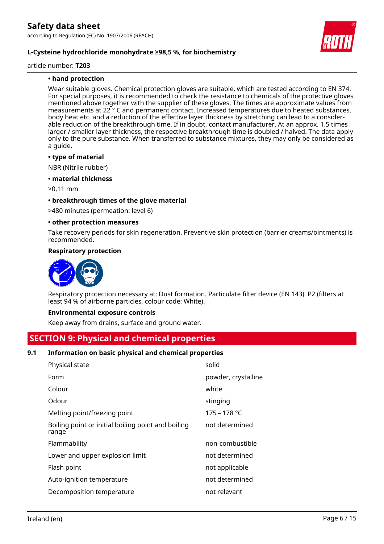

article number: **T203**

### **• hand protection**

Wear suitable gloves. Chemical protection gloves are suitable, which are tested according to EN 374. For special purposes, it is recommended to check the resistance to chemicals of the protective gloves mentioned above together with the supplier of these gloves. The times are approximate values from measurements at 22 ° C and permanent contact. Increased temperatures due to heated substances, body heat etc. and a reduction of the effective layer thickness by stretching can lead to a considerable reduction of the breakthrough time. If in doubt, contact manufacturer. At an approx. 1.5 times larger / smaller layer thickness, the respective breakthrough time is doubled / halved. The data apply only to the pure substance. When transferred to substance mixtures, they may only be considered as a guide.

#### **• type of material**

NBR (Nitrile rubber)

### **• material thickness**

>0,11 mm

### **• breakthrough times of the glove material**

>480 minutes (permeation: level 6)

#### **• other protection measures**

Take recovery periods for skin regeneration. Preventive skin protection (barrier creams/ointments) is recommended.

### **Respiratory protection**



Respiratory protection necessary at: Dust formation. Particulate filter device (EN 143). P2 (filters at least 94 % of airborne particles, colour code: White).

#### **Environmental exposure controls**

Keep away from drains, surface and ground water.

### **SECTION 9: Physical and chemical properties**

### **9.1 Information on basic physical and chemical properties**

| Physical state                                              | solid               |
|-------------------------------------------------------------|---------------------|
| Form                                                        | powder, crystalline |
| Colour                                                      | white               |
| Odour                                                       | stinging            |
| Melting point/freezing point                                | $175 - 178 °C$      |
| Boiling point or initial boiling point and boiling<br>range | not determined      |
| Flammability                                                | non-combustible     |
| Lower and upper explosion limit                             | not determined      |
| Flash point                                                 | not applicable      |
| Auto-ignition temperature                                   | not determined      |
| Decomposition temperature                                   | not relevant        |
|                                                             |                     |

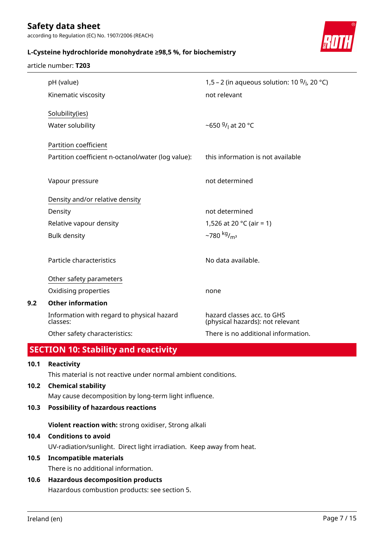article number: **T203**

according to Regulation (EC) No. 1907/2006 (REACH)

### **L-Cysteine hydrochloride monohydrate ≥98,5 %, for biochemistry**



# pH (value) 1,5 – 2 (in aqueous solution: 10 <sup>g</sup> /l , 20 °C) Kinematic viscosity not relevant Solubility(ies) Water solubility /<sub>l</sub> at 20 °C Partition coefficient Partition coefficient n-octanol/water (log value): this information is not available Vapour pressure not determined Density and/or relative density Density **Density** not determined Relative vapour density  $1,526$  at 20 °C (air = 1) Bulk density  $\sim$ 780 kg/<sub>m<sup>3</sub></sup></sub> Particle characteristics No data available. Other safety parameters Oxidising properties none **9.2 Other information** Information with regard to physical hazard classes: hazard classes acc. to GHS (physical hazards): not relevant Other safety characteristics: There is no additional information.

### **SECTION 10: Stability and reactivity**

### **10.1 Reactivity**

This material is not reactive under normal ambient conditions.

### **10.2 Chemical stability**

May cause decomposition by long-term light influence.

### **10.3 Possibility of hazardous reactions**

**Violent reaction with:** strong oxidiser, Strong alkali

### **10.4 Conditions to avoid**

UV-radiation/sunlight. Direct light irradiation. Keep away from heat.

### **10.5 Incompatible materials**

There is no additional information.

### **10.6 Hazardous decomposition products**

Hazardous combustion products: see section 5.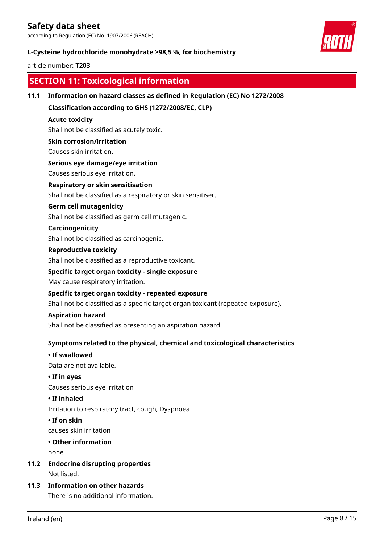according to Regulation (EC) No. 1907/2006 (REACH)

### **L-Cysteine hydrochloride monohydrate ≥98,5 %, for biochemistry**

### article number: **T203**



### **SECTION 11: Toxicological information**

### **11.1 Information on hazard classes as defined in Regulation (EC) No 1272/2008**

**Classification according to GHS (1272/2008/EC, CLP)**

### **Acute toxicity**

Shall not be classified as acutely toxic.

### **Skin corrosion/irritation**

Causes skin irritation.

### **Serious eye damage/eye irritation**

Causes serious eye irritation.

### **Respiratory or skin sensitisation**

Shall not be classified as a respiratory or skin sensitiser.

### **Germ cell mutagenicity**

Shall not be classified as germ cell mutagenic.

### **Carcinogenicity**

Shall not be classified as carcinogenic.

### **Reproductive toxicity**

Shall not be classified as a reproductive toxicant.

### **Specific target organ toxicity - single exposure**

May cause respiratory irritation.

### **Specific target organ toxicity - repeated exposure**

Shall not be classified as a specific target organ toxicant (repeated exposure).

### **Aspiration hazard**

Shall not be classified as presenting an aspiration hazard.

### **Symptoms related to the physical, chemical and toxicological characteristics**

### **• If swallowed**

Data are not available.

#### **• If in eyes**

Causes serious eye irritation

### **• If inhaled**

Irritation to respiratory tract, cough, Dyspnoea

### **• If on skin**

causes skin irritation

### **• Other information**

none

- **11.2 Endocrine disrupting properties** Not listed.
- **11.3 Information on other hazards** There is no additional information.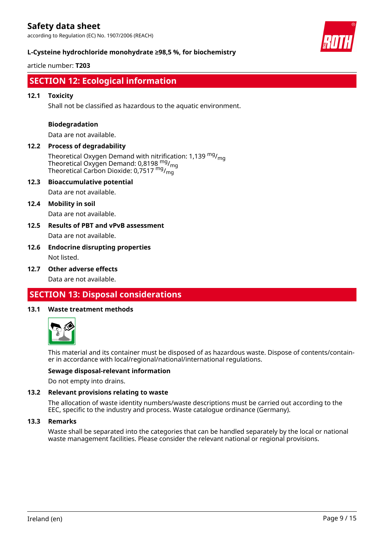according to Regulation (EC) No. 1907/2006 (REACH)

### **L-Cysteine hydrochloride monohydrate ≥98,5 %, for biochemistry**

article number: **T203**



### **SECTION 12: Ecological information**

### **12.1 Toxicity**

Shall not be classified as hazardous to the aquatic environment.

### **Biodegradation**

Data are not available.

### **12.2 Process of degradability**

Theoretical Oxygen Demand with nitrification: 1,139  $mg/m<sub>0</sub>$ Theoretical Oxygen Demand: 0,8198 <sup>mg</sup>/<sub>mg</sub> Theoretical Carbon Dioxide: 0,7517  $^{\mathsf{mg}}$ / $^{\mathsf{mg}}$ 

### **12.3 Bioaccumulative potential**

Data are not available.

### **12.4 Mobility in soil**

Data are not available.

**12.5 Results of PBT and vPvB assessment** Data are not available.

### **12.6 Endocrine disrupting properties** Not listed.

### **12.7 Other adverse effects**

Data are not available.

### **SECTION 13: Disposal considerations**

### **13.1 Waste treatment methods**



This material and its container must be disposed of as hazardous waste. Dispose of contents/container in accordance with local/regional/national/international regulations.

### **Sewage disposal-relevant information**

Do not empty into drains.

### **13.2 Relevant provisions relating to waste**

The allocation of waste identity numbers/waste descriptions must be carried out according to the EEC, specific to the industry and process. Waste catalogue ordinance (Germany).

### **13.3 Remarks**

Waste shall be separated into the categories that can be handled separately by the local or national waste management facilities. Please consider the relevant national or regional provisions.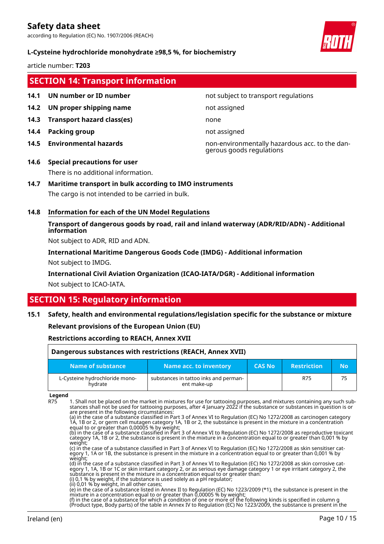according to Regulation (EC) No. 1907/2006 (REACH)

### **L-Cysteine hydrochloride monohydrate ≥98,5 %, for biochemistry**

article number: **T203**

### **SECTION 14: Transport information**

- 
- **14.2 UN proper shipping name** not assigned
- **14.3 Transport hazard class(es)** none
- **14.4 Packing group not assigned not assigned**
- 

### **14.1 UN number or ID number not subject to transport regulations**

**14.5 Environmental hazards** non-environmentally hazardous acc. to the dangerous goods regulations

# **14.6 Special precautions for user**

There is no additional information.

### **14.7 Maritime transport in bulk according to IMO instruments**

The cargo is not intended to be carried in bulk.

### **14.8 Information for each of the UN Model Regulations**

**Transport of dangerous goods by road, rail and inland waterway (ADR/RID/ADN) - Additional information**

Not subject to ADR, RID and ADN.

**International Maritime Dangerous Goods Code (IMDG) - Additional information** Not subject to IMDG.

**International Civil Aviation Organization (ICAO-IATA/DGR) - Additional information**

Not subject to ICAO-IATA.

### **SECTION 15: Regulatory information**

### **15.1 Safety, health and environmental regulations/legislation specific for the substance or mixture**

### **Relevant provisions of the European Union (EU)**

### **Restrictions according to REACH, Annex XVII**

| Dangerous substances with restrictions (REACH, Annex XVII) |                                                      |               |                    |    |  |
|------------------------------------------------------------|------------------------------------------------------|---------------|--------------------|----|--|
| Name of substance                                          | Name acc. to inventory                               | <b>CAS No</b> | <b>Restriction</b> | No |  |
| L-Cysteine hydrochloride mono-<br>hvdrate                  | substances in tattoo inks and perman-<br>ent make-up |               | R75                | 75 |  |

**Legend**

R75 1. Shall not be placed on the market in mixtures for use for tattooing purposes, and mixtures containing any such substances shall not be used for tattooing purposes, after 4 January 2022 if the substance or substances in question is or are present in the following circumstances:

(a) in the case of a substance classified in Part 3 of Annex VI to Regulation (EC) No 1272/2008 as carcinogen category 1A, 1B or 2, or germ cell mutagen category 1A, 1B or 2, the substance is present in the mixture in a concentration equal to or greater than 0,00005 % by weight;

(b) in the case of a substance classified in Part 3 of Annex VI to Regulation (EC) No 1272/2008 as reproductive toxicant category 1A, 1B or 2, the substance is present in the mixture in a concentration equal to or greater than 0,001 % by

weight;"<br>(c) in the case of a substance classified in Part 3 of Annex VI to Regulation (EC) No 1272/2008 as skin sensitiser cat-(c) in the case of a substance classified in Part 3 of Annex VI to Regulation (EC) No 1272/2008 as skin sensitiser category 1, 1A or 1B, the substance is present in the mixture in a concentration equal to or greater than 0,001 % by weight;

(d) in the case of a substance classified in Part 3 of Annex VI to Regulation (EC) No 1272/2008 as skin corrosive category 1, 1A, 1B or 1C or skin irritant category 2, or as serious eye damage category 1 or eye irritant category 2, the substance is present in the mixture in a concentration equal to or greater than: (i) 0,1 % by weight, if the substance is used solely as a pH regulator;

(ii) 0,01 % by weight, in all other cases;

(e) in the case of a substance listed in Annex II to Regulation (EC) No 1223/2009 (\*1), the substance is present in the mixture in a concentration equal to or greater than 0,00005 % by weight;

(f) in the case of a substance for which a condition of one or more of the following kinds is specified in column g (Product type, Body parts) of the table in Annex IV to Regulation (EC) No 1223/2009, the substance is present in the

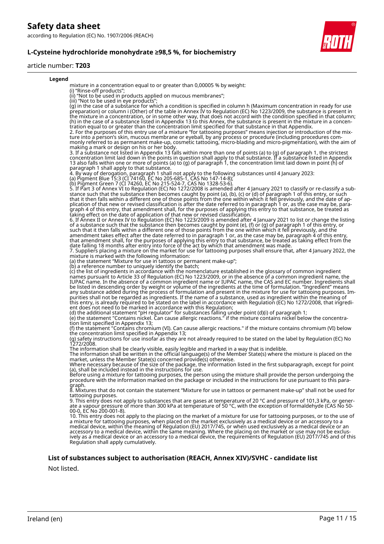according to Regulation (EC) No. 1907/2006 (REACH)

### **L-Cysteine hydrochloride monohydrate ≥98,5 %, for biochemistry**

### article number: **T203**

#### **Legend**

mixture in a concentration equal to or greater than 0,00005 % by weight:

(i) "Rinse-off products";

- (ii) "Not to be used in products applied on mucous membranes";
- (iii) "Not to be used in eye products";

(g) in the case of a substance for which a condition is specified in column h (Maximum concentration in ready for use preparation) or column i (Other) of the table in Annex IV to Regulation (EC) No 1223/2009, the substance is present in the mixture in a concentration, or in some other way, that does not accord with the condition specified in that column; (h) in the case of a substance listed in Appendix 13 to this Annex, the substance is present in the mixture in a concentration equal to or greater than the concentration limit specified for that substance in that Appendix.

2. For the purposes of this entry use of a mixture "for tattooing purposes" means injection or introduction of the mixture into a person's skin, mucous membrane or eyeball, by any process or procedure (including procedures commonly referred to as permanent make-up, cosmetic tattooing, micro-blading and micro-pigmentation), with the aim of making a mark or design on his or her body.

3. If a substance not listed in Appendix 13 falls within more than one of points (a) to (g) of paragraph 1, the strictest concentration limit laid down in the points in question shall apply to that substance. If a substance listed in Appendix 13 also falls within one or more of points (a) to (g) of paragraph 1, the concentration limit laid down in point (h) of paragraph 1 shall apply to that substance.

4. By way of derogation, paragraph 1 shall not apply to the following substances until 4 January 2023:

(a) Pigment Blue 15:3 (CI 74160, EC No 205-685-1, CAS No 147-14-8); (b) Pigment Green 7 (CI 74260, EC No 215-524-7, CAS No 1328-53-6).

5. If Part 3 of Annex VI to Regulation (EC) No 1272/2008 is amended after 4 January 2021 to classify or re-classify a substance such that the substance then becomes caught by point (a), (b), (c) or (d) of paragraph 1 of this entry, or such that it then falls within a different one of those points from the one within which it fell previously, and the date of application of that new or revised classification is after the date referred to in paragraph 1 or, as the case may be, paragraph 4 of this entry, that amendment shall, for the purposes of applying this entry to that substance, be treated as taking effect on the date of application of that new or revised classification.

6. If Annex II or Annex IV to Regulation (EC) No 1223/2009 is amended after 4 January 2021 to list or change the listing of a substance such that the substance then becomes caught by point (e), (f) or (g) of paragraph 1 of this entry, or such that it then falls within a different one of those points from the one within which it fell previously, and the amendment takes effect after the date referred to in paragraph 1 or, as the case may be, paragraph 4 of this entry, that amendment shall, for the purposes of applying this entry to that substance, be treated as taking effect from the date falling 18 months after entry into force of the act by which that amendment was made.

7. Suppliers placing a mixture on the market for use for tattooing purposes shall ensure that, after 4 January 2022, the mixture is marked with the following information:

(a) the statement "Mixture for use in tattoos or permanent make-up";

(b) a reference number to uniquely identify the batch;

(c) the list of ingredients in accordance with the nomenclature established in the glossary of common ingredient names pursuant to Article 33 of Regulation (EC) No 1223/2009, or in the absence of a common ingredient name, the IUPAC name. In the absence of a common ingredient name or IUPAC name, the CAS and EC number. Ingredients shall be listed in descending order by weight or volume of the ingredients at the time of formulation. "Ingredient" means any substance added during the process of formulation and present in the mixture for use for tattooing purposes. Impurities shall not be regarded as ingredients. If the name of a substance, used as ingredient within the meaning of this entry, is already required to be stated on the label in accordance with Regulation (EC) No 1272/2008, that ingredient does not need to be marked in accordance with this Regulation;

(d) the additional statement "pH regulator" for substances falling under point (d)(i) of paragraph 1;

(e) the statement "Contains nickel. Can cause allergic reactions." if the mixture contains nickel below the concentration limit specified in Appendix 13;

(f) the statement "Contains chromium (VI). Can cause allergic reactions." if the mixture contains chromium (VI) below the concentration limit specified in Appendix 13;

(g) safety instructions for use insofar as they are not already required to be stated on the label by Regulation (EC) No 1272/2008.

The information shall be clearly visible, easily legible and marked in a way that is indelible. The information shall be written in the official language(s) of the Member State(s) where the mixture is placed on the market, unless the Member State(s) concerned provide(s) otherwise.

Where necessary because of the size of the package, the information listed in the first subparagraph, except for point (a), shall be included instead in the instructions for use.

Before using a mixture for tattooing purposes, the person using the mixture shall provide the person undergoing the procedure with the information marked on the package or included in the instructions for use pursuant to this paragraph.

8. Mixtures that do not contain the statement "Mixture for use in tattoos or permanent make-up" shall not be used for tattooing purposes.

9. This entry does not apply to substances that are gases at temperature of 20 °C and pressure of 101,3 kPa, or generate a vapour pressure of more than 300 kPa at temperature of 50 °C, with the exception of formaldehyde (CAS No 50- 00-0, EC No 200-001-8).

10. This entry does not apply to the placing on the market of a mixture for use for tattooing purposes, or to the use of a mixture for tattooing purposes, when placed on the market exclusively as a medical device or an accessory to a medical device, within the meaning of Regulation (EU) 2017/745, or when used exclusively as a medical device or an accessory to a medical device, within the same meaning. Where the placing on the market or use may not be exclusively as a medical device or an accessory to a medical device, the requirements of Regulation (EU) 2017/745 and of this Regulation shall apply cumulatively.

### **List of substances subject to authorisation (REACH, Annex XIV)/SVHC - candidate list**

Not listed.

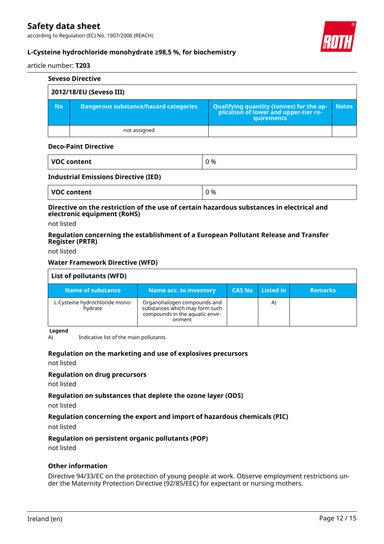according to Regulation (EC) No. 1907/2006 (REACH)



### **L-Cysteine hydrochloride monohydrate ≥98,5 %, for biochemistry**

### article number: **T203**

| <b>Seveso Directive</b> |                                       |                                                                                                   |              |  |  |  |  |
|-------------------------|---------------------------------------|---------------------------------------------------------------------------------------------------|--------------|--|--|--|--|
| 2012/18/EU (Seveso III) |                                       |                                                                                                   |              |  |  |  |  |
| <b>No</b>               | Dangerous substance/hazard categories | Qualifying quantity (tonnes) for the application of lower and upper-tier re-<br><b>auirements</b> | <b>Notes</b> |  |  |  |  |
|                         | not assigned                          |                                                                                                   |              |  |  |  |  |

#### **Deco-Paint Directive**

| <b>VOC content</b> | 0% |
|--------------------|----|
|                    |    |

### **Industrial Emissions Directive (IED)**

| <b>VOC content</b> | ገ % |
|--------------------|-----|
|--------------------|-----|

### **Directive on the restriction of the use of certain hazardous substances in electrical and electronic equipment (RoHS)**

not listed

### **Regulation concerning the establishment of a European Pollutant Release and Transfer Register (PRTR)**

not listed

### **Water Framework Directive (WFD)**

| List of pollutants (WFD)                  |                                                                                                            |               |           |                |
|-------------------------------------------|------------------------------------------------------------------------------------------------------------|---------------|-----------|----------------|
| Name of substance                         | <b>Name acc. to inventory</b>                                                                              | <b>CAS No</b> | Listed in | <b>Remarks</b> |
| L-Cysteine hydrochloride mono-<br>hydrate | Organohalogen compounds and<br>substances which may form such<br>compounds in the aquatic envir-<br>onment |               | A)        |                |

#### **Legend**

A) Indicative list of the main pollutants

### **Regulation on the marketing and use of explosives precursors**

not listed

#### **Regulation on drug precursors**

not listed

### **Regulation on substances that deplete the ozone layer (ODS)**

not listed

### **Regulation concerning the export and import of hazardous chemicals (PIC)**

not listed

### **Regulation on persistent organic pollutants (POP)**

not listed

### **Other information**

Directive 94/33/EC on the protection of young people at work. Observe employment restrictions under the Maternity Protection Directive (92/85/EEC) for expectant or nursing mothers.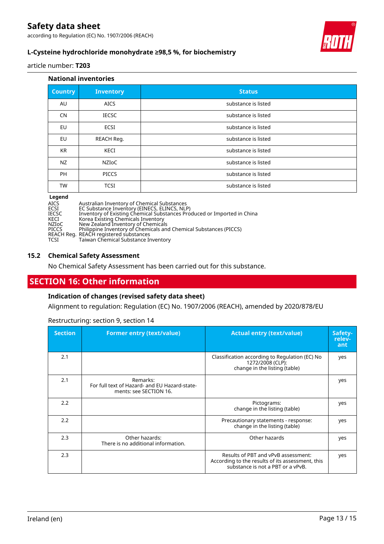according to Regulation (EC) No. 1907/2006 (REACH)



### **L-Cysteine hydrochloride monohydrate ≥98,5 %, for biochemistry**

article number: **T203**

| <b>National inventories</b> |                  |                     |
|-----------------------------|------------------|---------------------|
| <b>Country</b>              | <b>Inventory</b> | <b>Status</b>       |
| AU                          | <b>AICS</b>      | substance is listed |
| <b>CN</b>                   | <b>IECSC</b>     | substance is listed |
| EU                          | <b>ECSI</b>      | substance is listed |
| <b>EU</b>                   | REACH Reg.       | substance is listed |
| <b>KR</b>                   | KECI             | substance is listed |
| NZ                          | NZIoC            | substance is listed |
| <b>PH</b>                   | <b>PICCS</b>     | substance is listed |
| <b>TW</b>                   | <b>TCSI</b>      | substance is listed |

#### **Legend**

AICS Australian Inventory of Chemical Substances

ECSI EC Substance Inventory (EINECS, ELINCS, NLP)

IECSC Inventory of Existing Chemical Substances Produced or Imported in China

KECI Korea Existing Chemicals Inventory

NZIoC New Zealand Inventory of Chemicals

PICCS Philippine Inventory of Chemicals and Chemical Substances (PICCS)

REACH Reg. REACH registered substances

TCSI Taiwan Chemical Substance Inventory

### **15.2 Chemical Safety Assessment**

No Chemical Safety Assessment has been carried out for this substance.

### **SECTION 16: Other information**

### **Indication of changes (revised safety data sheet)**

Alignment to regulation: Regulation (EC) No. 1907/2006 (REACH), amended by 2020/878/EU

Restructuring: section 9, section 14

| <b>Section</b> | <b>Former entry (text/value)</b>                                                    | <b>Actual entry (text/value)</b>                                                                                             | Safety-<br>relev-<br>ant |
|----------------|-------------------------------------------------------------------------------------|------------------------------------------------------------------------------------------------------------------------------|--------------------------|
| 2.1            |                                                                                     | Classification according to Regulation (EC) No<br>1272/2008 (CLP):<br>change in the listing (table)                          | yes                      |
| 2.1            | Remarks:<br>For full text of Hazard- and EU Hazard-state-<br>ments: see SECTION 16. |                                                                                                                              | yes                      |
| 2.2            |                                                                                     | Pictograms:<br>change in the listing (table)                                                                                 | yes                      |
| 2.2            |                                                                                     | Precautionary statements - response:<br>change in the listing (table)                                                        | yes                      |
| 2.3            | Other hazards:<br>There is no additional information.                               | Other hazards                                                                                                                | yes                      |
| 2.3            |                                                                                     | Results of PBT and vPvB assessment:<br>According to the results of its assessment, this<br>substance is not a PBT or a vPvB. | yes                      |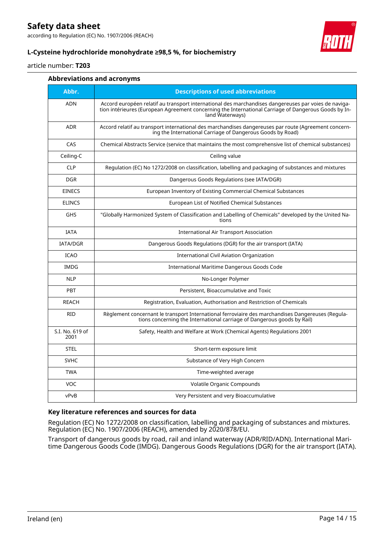according to Regulation (EC) No. 1907/2006 (REACH)



### **L-Cysteine hydrochloride monohydrate ≥98,5 %, for biochemistry**

### article number: **T203**

### **Abbreviations and acronyms**

| Abbr.                   | <b>Descriptions of used abbreviations</b>                                                                                                                                                                                       |  |
|-------------------------|---------------------------------------------------------------------------------------------------------------------------------------------------------------------------------------------------------------------------------|--|
| <b>ADN</b>              | Accord européen relatif au transport international des marchandises dangereuses par voies de naviga-<br>tion intérieures (European Agreement concerning the International Carriage of Dangerous Goods by In-<br>land Waterways) |  |
| <b>ADR</b>              | Accord relatif au transport international des marchandises dangereuses par route (Agreement concern-<br>ing the International Carriage of Dangerous Goods by Road)                                                              |  |
| CAS                     | Chemical Abstracts Service (service that maintains the most comprehensive list of chemical substances)                                                                                                                          |  |
| Ceiling-C               | Ceiling value                                                                                                                                                                                                                   |  |
| <b>CLP</b>              | Regulation (EC) No 1272/2008 on classification, labelling and packaging of substances and mixtures                                                                                                                              |  |
| <b>DGR</b>              | Dangerous Goods Regulations (see IATA/DGR)                                                                                                                                                                                      |  |
| <b>EINECS</b>           | European Inventory of Existing Commercial Chemical Substances                                                                                                                                                                   |  |
| <b>ELINCS</b>           | European List of Notified Chemical Substances                                                                                                                                                                                   |  |
| <b>GHS</b>              | "Globally Harmonized System of Classification and Labelling of Chemicals" developed by the United Na-<br>tions                                                                                                                  |  |
| <b>IATA</b>             | International Air Transport Association                                                                                                                                                                                         |  |
| <b>IATA/DGR</b>         | Dangerous Goods Regulations (DGR) for the air transport (IATA)                                                                                                                                                                  |  |
| <b>ICAO</b>             | International Civil Aviation Organization                                                                                                                                                                                       |  |
| <b>IMDG</b>             | International Maritime Dangerous Goods Code                                                                                                                                                                                     |  |
| <b>NLP</b>              | No-Longer Polymer                                                                                                                                                                                                               |  |
| <b>PBT</b>              | Persistent, Bioaccumulative and Toxic                                                                                                                                                                                           |  |
| <b>REACH</b>            | Registration, Evaluation, Authorisation and Restriction of Chemicals                                                                                                                                                            |  |
| <b>RID</b>              | Règlement concernant le transport International ferroviaire des marchandises Dangereuses (Regula-<br>tions concerning the International carriage of Dangerous goods by Rail)                                                    |  |
| S.I. No. 619 of<br>2001 | Safety, Health and Welfare at Work (Chemical Agents) Regulations 2001                                                                                                                                                           |  |
| <b>STEL</b>             | Short-term exposure limit                                                                                                                                                                                                       |  |
| <b>SVHC</b>             | Substance of Very High Concern                                                                                                                                                                                                  |  |
| <b>TWA</b>              | Time-weighted average                                                                                                                                                                                                           |  |
| <b>VOC</b>              | Volatile Organic Compounds                                                                                                                                                                                                      |  |
| vPvB                    | Very Persistent and very Bioaccumulative                                                                                                                                                                                        |  |

### **Key literature references and sources for data**

Regulation (EC) No 1272/2008 on classification, labelling and packaging of substances and mixtures. Regulation (EC) No. 1907/2006 (REACH), amended by 2020/878/EU.

Transport of dangerous goods by road, rail and inland waterway (ADR/RID/ADN). International Maritime Dangerous Goods Code (IMDG). Dangerous Goods Regulations (DGR) for the air transport (IATA).